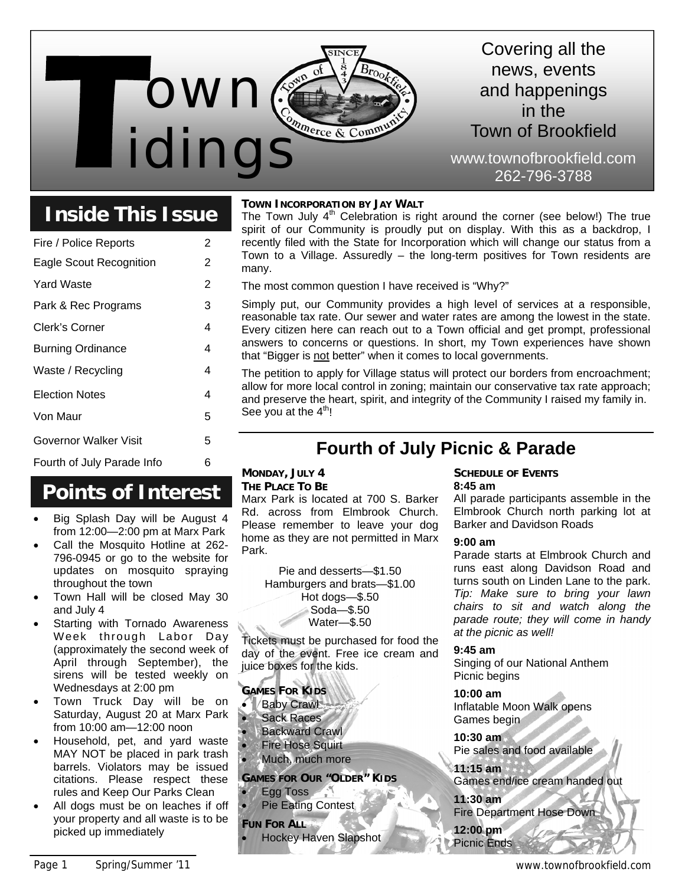

# **Inside This Issue**

| Fire / Police Reports      | 2 |
|----------------------------|---|
| Eagle Scout Recognition    | 2 |
| Yard Waste                 | 2 |
| Park & Rec Programs        | 3 |
| Clerk's Corner             | 4 |
| <b>Burning Ordinance</b>   | 4 |
| Waste / Recycling          | 4 |
| <b>Election Notes</b>      | 4 |
| Von Maur                   | 5 |
| Governor Walker Visit      | 5 |
| Fourth of July Parade Info | 6 |
|                            |   |

# **Points of Interest**

- Big Splash Day will be August 4 from 12:00—2:00 pm at Marx Park
- Call the Mosquito Hotline at 262- 796-0945 or go to the website for updates on mosquito spraying throughout the town
- Town Hall will be closed May 30 and July 4
- Starting with Tornado Awareness Week through Labor Day (approximately the second week of April through September), the sirens will be tested weekly on Wednesdays at 2:00 pm
- Town Truck Day will be on Saturday, August 20 at Marx Park from 10:00 am—12:00 noon
- Household, pet, and yard waste MAY NOT be placed in park trash barrels. Violators may be issued citations. Please respect these rules and Keep Our Parks Clean
- All dogs must be on leaches if off your property and all waste is to be picked up immediately

## **TOWN INCORPORATION BY JAY WALT**

The Town July  $4<sup>th</sup>$  Celebration is right around the corner (see below!) The true spirit of our Community is proudly put on display. With this as a backdrop, I recently filed with the State for Incorporation which will change our status from a Town to a Village. Assuredly – the long-term positives for Town residents are many.

The most common question I have received is "Why?"

Simply put, our Community provides a high level of services at a responsible, reasonable tax rate. Our sewer and water rates are among the lowest in the state. Every citizen here can reach out to a Town official and get prompt, professional answers to concerns or questions. In short, my Town experiences have shown that "Bigger is not better" when it comes to local governments.

The petition to apply for Village status will protect our borders from encroachment; allow for more local control in zoning; maintain our conservative tax rate approach; and preserve the heart, spirit, and integrity of the Community I raised my family in. See you at the  $4<sup>th</sup>!$ 

## **Fourth of July Picnic & Parade**

## **MONDAY, JULY 4 THE PLACE TO BE**

Marx Park is located at 700 S. Barker Rd. across from Elmbrook Church. Please remember to leave your dog home as they are not permitted in Marx Park.

> Pie and desserts—\$1.50 Hamburgers and brats—\$1.00 Hot dogs—\$.50 Soda—\$.50 Water—\$.50

Tickets must be purchased for food the day of the event. Free ice cream and juice boxes for the kids.

## **GAMES FOR KIDS**

- **Baby Crawl**
- **Sack Races**
- **Backward Crawl**
- **Fire Hose Squirt**
- Much, much more

## **GAMES FOR OUR "OLDER" KIDS**

- **Egg Toss**
- Pie Eating Contest

## **FUN FOR ALL**

• Hockey Haven Slapshot

#### **SCHEDULE OF EVENTS 8:45 am**

All parade participants assemble in the Elmbrook Church north parking lot at Barker and Davidson Roads

#### **9:00 am**

Parade starts at Elmbrook Church and runs east along Davidson Road and turns south on Linden Lane to the park. *Tip: Make sure to bring your lawn chairs to sit and watch along the parade route; they will come in handy at the picnic as well!*

## **9:45 am**

Singing of our National Anthem Picnic begins

## **10:00 am**

Inflatable Moon Walk opens Games begin

## **10:30 am**

Pie sales and food available

**11:15 am**  Games end/ice cream handed out

## **11:30 am**

Fire Department Hose Down

**12:00 pm**  Picnic Ends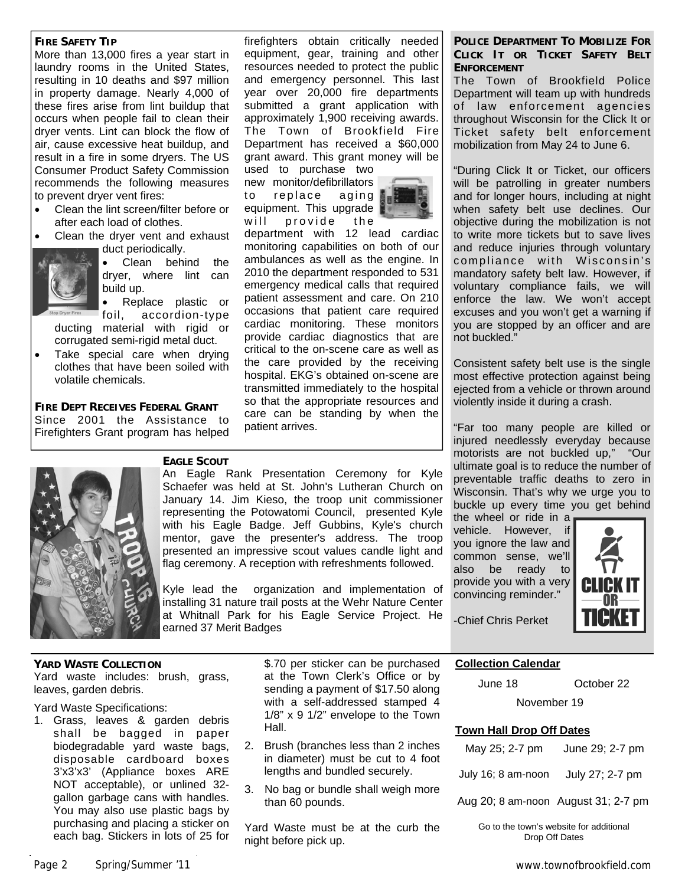#### **FIRE SAFETY TIP**

More than 13,000 fires a year start in laundry rooms in the United States, resulting in 10 deaths and \$97 million in property damage. Nearly 4,000 of these fires arise from lint buildup that occurs when people fail to clean their dryer vents. Lint can block the flow of air, cause excessive heat buildup, and result in a fire in some dryers. The US Consumer Product Safety Commission recommends the following measures to prevent dryer vent fires:

- Clean the lint screen/filter before or after each load of clothes.
- Clean the dryer vent and exhaust

duct periodically.



Clean behind the dryer, where lint can build up.

• Replace plastic or foil, accordion-type

ducting material with rigid or corrugated semi-rigid metal duct.

Take special care when drying clothes that have been soiled with volatile chemicals.

## **FIRE DEPT RECEIVES FEDERAL GRANT**

Since 2001 the Assistance to Firefighters Grant program has helped



**EAGLE SCOUT**

firefighters obtain critically needed equipment, gear, training and other resources needed to protect the public and emergency personnel. This last year over 20,000 fire departments submitted a grant application with approximately 1,900 receiving awards. The Town of Brookfield Fire Department has received a \$60,000 grant award. This grant money will be

used to purchase two new monitor/defibrillators to replace aging equipment. This upgrade will provide the



department with 12 lead cardiac monitoring capabilities on both of our ambulances as well as the engine. In 2010 the department responded to 531 emergency medical calls that required patient assessment and care. On 210 occasions that patient care required cardiac monitoring. These monitors provide cardiac diagnostics that are critical to the on-scene care as well as the care provided by the receiving hospital. EKG's obtained on-scene are transmitted immediately to the hospital so that the appropriate resources and care can be standing by when the patient arrives.

An Eagle Rank Presentation Ceremony for Kyle Schaefer was held at St. John's Lutheran Church on January 14. Jim Kieso, the troop unit commissioner representing the Potowatomi Council, presented Kyle with his Eagle Badge. Jeff Gubbins, Kyle's church mentor, gave the presenter's address. The troop presented an impressive scout values candle light and flag ceremony. A reception with refreshments followed.

Kyle lead the organization and implementation of installing 31 nature trail posts at the Wehr Nature Center at Whitnall Park for his Eagle Service Project. He earned 37 Merit Badges

#### **POLICE DEPARTMENT TO MOBILIZE FOR CLICK IT OR TICKET SAFETY BELT ENFORCEMENT**

The Town of Brookfield Police Department will team up with hundreds of law enforcement agencies throughout Wisconsin for the Click It or Ticket safety belt enforcement mobilization from May 24 to June 6.

"During Click It or Ticket, our officers will be patrolling in greater numbers and for longer hours, including at night when safety belt use declines. Our objective during the mobilization is not to write more tickets but to save lives and reduce injuries through voluntary compliance with Wisconsin's mandatory safety belt law. However, if voluntary compliance fails, we will enforce the law. We won't accept excuses and you won't get a warning if you are stopped by an officer and are not buckled."

Consistent safety belt use is the single most effective protection against being ejected from a vehicle or thrown around violently inside it during a crash.

"Far too many people are killed or injured needlessly everyday because motorists are not buckled up," "Our ultimate goal is to reduce the number of preventable traffic deaths to zero in Wisconsin. That's why we urge you to buckle up every time you get behind the wheel or ride in a

vehicle. However, if you ignore the law and common sense, we'll also be ready to provide you with a very convincing reminder."



-Chief Chris Perket

#### **YARD WASTE COLLECTION**

Yard waste includes: brush, grass, leaves, garden debris.

Yard Waste Specifications:

1. Grass, leaves & garden debris shall be bagged in paper biodegradable yard waste bags, disposable cardboard boxes 3'x3'x3' (Appliance boxes ARE NOT acceptable), or unlined 32 gallon garbage cans with handles. You may also use plastic bags by purchasing and placing a sticker on each bag. Stickers in lots of 25 for

\$.70 per sticker can be purchased at the Town Clerk's Office or by sending a payment of \$17.50 along with a self-addressed stamped 4 1/8" x 9 1/2" envelope to the Town Hall.

- 2. Brush (branches less than 2 inches in diameter) must be cut to 4 foot lengths and bundled securely.
- 3. No bag or bundle shall weigh more than 60 pounds.

Yard Waste must be at the curb the night before pick up.

#### **Collection Calendar**

| June 18 | October 22 |
|---------|------------|
|         | .          |

November 19

#### **Town Hall Drop Off Dates**

| May 25; 2-7 pm                      | June 29; 2-7 pm |
|-------------------------------------|-----------------|
| July 16; 8 am-noon                  | July 27; 2-7 pm |
| Aug 20; 8 am-noon August 31; 2-7 pm |                 |

Go to the town's website for additional Drop Off Dates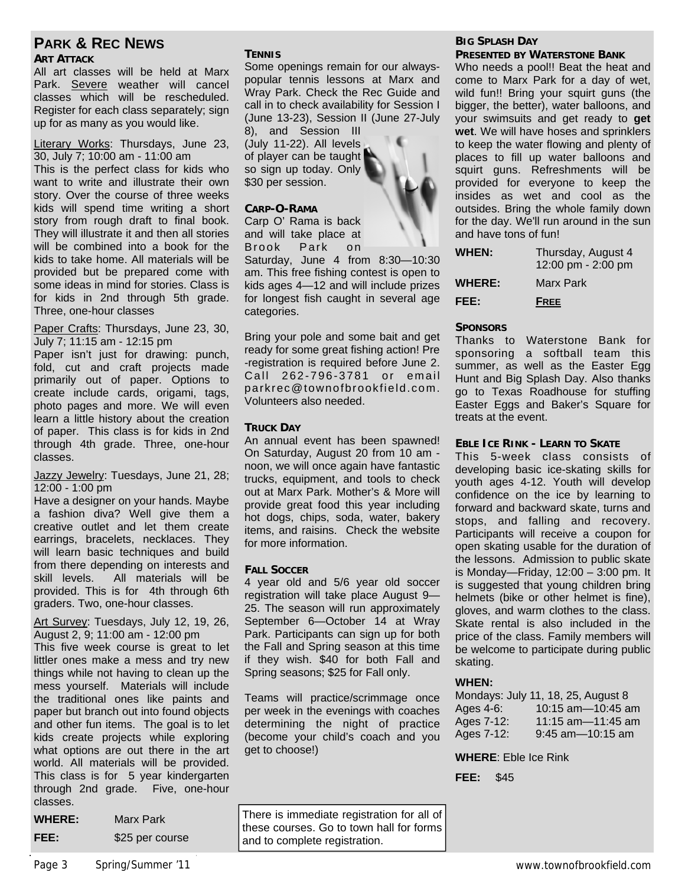## **PARK & REC NEWS**

#### **ART ATTACK**

All art classes will be held at Marx Park. Severe weather will cancel classes which will be rescheduled. Register for each class separately; sign up for as many as you would like.

Literary Works: Thursdays, June 23, 30, July 7; 10:00 am - 11:00 am

This is the perfect class for kids who want to write and illustrate their own story. Over the course of three weeks kids will spend time writing a short story from rough draft to final book. They will illustrate it and then all stories will be combined into a book for the kids to take home. All materials will be provided but be prepared come with some ideas in mind for stories. Class is for kids in 2nd through 5th grade. Three, one-hour classes

Paper Crafts: Thursdays, June 23, 30, July 7; 11:15 am - 12:15 pm

Paper isn't just for drawing: punch, fold, cut and craft projects made primarily out of paper. Options to create include cards, origami, tags, photo pages and more. We will even learn a little history about the creation of paper. This class is for kids in 2nd through 4th grade. Three, one-hour classes.

Jazzy Jewelry: Tuesdays, June 21, 28; 12:00 - 1:00 pm

Have a designer on your hands. Maybe a fashion diva? Well give them a creative outlet and let them create earrings, bracelets, necklaces. They will learn basic techniques and build from there depending on interests and skill levels. All materials will be provided. This is for 4th through 6th graders. Two, one-hour classes.

Art Survey: Tuesdays, July 12, 19, 26, August 2, 9; 11:00 am - 12:00 pm

This five week course is great to let littler ones make a mess and try new things while not having to clean up the mess yourself. Materials will include the traditional ones like paints and paper but branch out into found objects and other fun items. The goal is to let kids create projects while exploring what options are out there in the art world. All materials will be provided. This class is for 5 year kindergarten through 2nd grade. Five, one-hour classes.

## **WHERE:** Marx Park FEE: \$25 per course

#### **TENNIS**

Some openings remain for our alwayspopular tennis lessons at Marx and Wray Park. Check the Rec Guide and call in to check availability for Session I (June 13-23), Session II (June 27-July

8), and Session III (July 11-22). All levels of player can be taught so sign up today. Only \$30 per session.

#### **CARP-O-RAMA**

Carp O' Rama is back and will take place at Brook Park on

Saturday, June 4 from 8:30—10:30 am. This free fishing contest is open to kids ages 4—12 and will include prizes for longest fish caught in several age categories.

Bring your pole and some bait and get ready for some great fishing action! Pre -registration is required before June 2. Call 262-796-3781 or email parkrec@townofbrookfield.com. Volunteers also needed.

#### **TRUCK DAY**

An annual event has been spawned! On Saturday, August 20 from 10 am noon, we will once again have fantastic trucks, equipment, and tools to check out at Marx Park. Mother's & More will provide great food this year including hot dogs, chips, soda, water, bakery items, and raisins. Check the website for more information.

#### **FALL SOCCER**

4 year old and 5/6 year old soccer registration will take place August 9— 25. The season will run approximately September 6—October 14 at Wray Park. Participants can sign up for both the Fall and Spring season at this time if they wish. \$40 for both Fall and Spring seasons; \$25 for Fall only.

Teams will practice/scrimmage once per week in the evenings with coaches determining the night of practice (become your child's coach and you get to choose!)

There is immediate registration for all of these courses. Go to town hall for forms and to complete registration.

#### **BIG SPLASH DAY PRESENTED BY WATERSTONE BANK**

Who needs a pool!! Beat the heat and come to Marx Park for a day of wet, wild fun!! Bring your squirt guns (the bigger, the better), water balloons, and your swimsuits and get ready to **get wet**. We will have hoses and sprinklers to keep the water flowing and plenty of places to fill up water balloons and squirt guns. Refreshments will be provided for everyone to keep the insides as wet and cool as the outsides. Bring the whole family down for the day. We'll run around in the sun and have tons of fun!

| <b>WHEN:</b>  | Thursday, August 4<br>12:00 pm - 2:00 pm |
|---------------|------------------------------------------|
| <b>WHERE:</b> | Marx Park                                |
| FEE:          | <b>FREE</b>                              |

#### **SPONSORS**

Thanks to Waterstone Bank for sponsoring a softball team this summer, as well as the Easter Egg Hunt and Big Splash Day. Also thanks go to Texas Roadhouse for stuffing Easter Eggs and Baker's Square for treats at the event.

#### **EBLE ICE RINK - LEARN TO SKATE**

This 5-week class consists of developing basic ice-skating skills for youth ages 4-12. Youth will develop confidence on the ice by learning to forward and backward skate, turns and stops, and falling and recovery. Participants will receive a coupon for open skating usable for the duration of the lessons. Admission to public skate is Monday—Friday, 12:00 – 3:00 pm. It is suggested that young children bring helmets (bike or other helmet is fine), gloves, and warm clothes to the class. Skate rental is also included in the price of the class. Family members will be welcome to participate during public skating.

## **WHEN:**

|            | Mondays: July 11, 18, 25, August 8 |
|------------|------------------------------------|
| Ages 4-6:  | 10:15 am-10:45 am                  |
| Ages 7-12: | 11:15 am-11:45 am                  |
| Ages 7-12: | $9:45$ am $-10:15$ am              |

#### **WHERE**: Eble Ice Rink

**FEE:** \$45

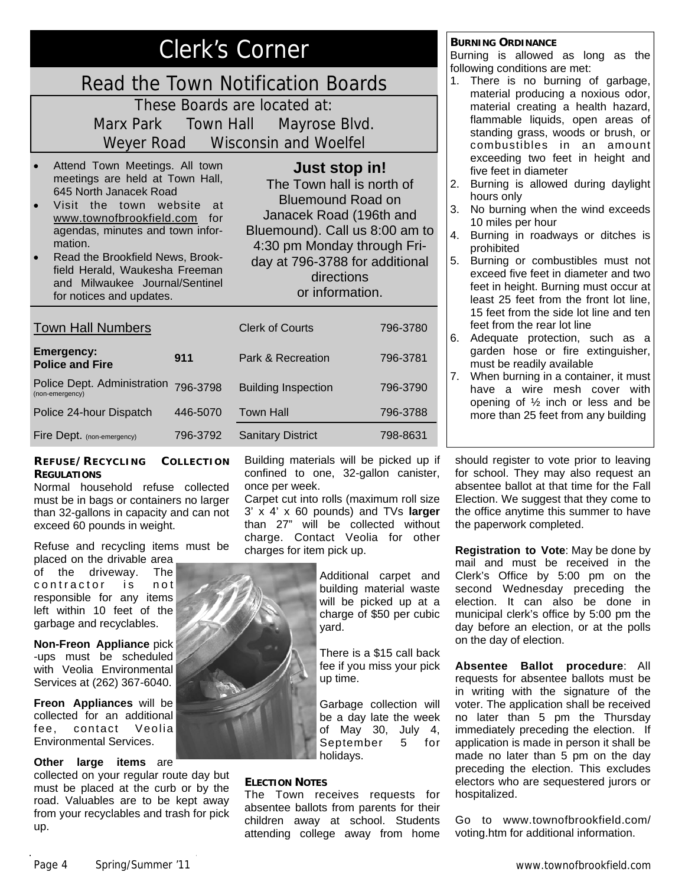# Clerk's Corner

# Read the Town Notification Boards

These Boards are located at: Marx Park Town Hall Mayrose Blvd. Weyer Road Wisconsin and Woelfel

- Attend Town Meetings. All town meetings are held at Town Hall, 645 North Janacek Road
- Visit the town website at www.townofbrookfield.com for agendas, minutes and town information.
- Read the Brookfield News, Brookfield Herald, Waukesha Freeman and Milwaukee Journal/Sentinel for notices and updates.

## **Just stop in!**

The Town hall is north of Bluemound Road on Janacek Road (196th and Bluemound). Call us 8:00 am to 4:30 pm Monday through Friday at 796-3788 for additional directions or information.

| <b>Town Hall Numbers</b>                       |          | <b>Clerk of Courts</b>     | 796-3780 |
|------------------------------------------------|----------|----------------------------|----------|
| <b>Emergency:</b><br><b>Police and Fire</b>    | 911      | Park & Recreation          | 796-3781 |
| Police Dept. Administration<br>(non-emergency) | 796-3798 | <b>Building Inspection</b> | 796-3790 |
| Police 24-hour Dispatch                        | 446-5070 | <b>Town Hall</b>           | 796-3788 |
| Fire Dept. (non-emergency)                     | 796-3792 | <b>Sanitary District</b>   | 798-8631 |

#### **REFUSE/RECYCLING COLLECTION REGULATIONS**

Normal household refuse collected must be in bags or containers no larger than 32-gallons in capacity and can not exceed 60 pounds in weight.

Refuse and recycling items must be

placed on the drivable area of the driveway. The contractor is not responsible for any items left within 10 feet of the garbage and recyclables.

**Non-Freon Appliance** pick -ups must be scheduled with Veolia Environmental Services at (262) 367-6040.

**Freon Appliances** will be collected for an additional fee, contact Veolia Environmental Services.

## **Other large items** are

collected on your regular route day but must be placed at the curb or by the road. Valuables are to be kept away from your recyclables and trash for pick up.

Building materials will be picked up if confined to one, 32-gallon canister, once per week.

Carpet cut into rolls (maximum roll size 3' x 4' x 60 pounds) and TVs **larger** than 27" will be collected without charge. Contact Veolia for other charges for item pick up.



## **ELECTION NOTES**

The Town receives requests for absentee ballots from parents for their children away at school. Students attending college away from home

#### **BURNING ORDINANCE**

Burning is allowed as long as the following conditions are met:

- 1. There is no burning of garbage, material producing a noxious odor, material creating a health hazard, flammable liquids, open areas of standing grass, woods or brush, or combustibles in an amount exceeding two feet in height and five feet in diameter
- 2. Burning is allowed during daylight hours only
- 3. No burning when the wind exceeds 10 miles per hour
- 4. Burning in roadways or ditches is prohibited
- 5. Burning or combustibles must not exceed five feet in diameter and two feet in height. Burning must occur at least 25 feet from the front lot line, 15 feet from the side lot line and ten feet from the rear lot line
- 6. Adequate protection, such as a garden hose or fire extinguisher, must be readily available
- 7. When burning in a container, it must have a wire mesh cover with opening of ½ inch or less and be more than 25 feet from any building

should register to vote prior to leaving for school. They may also request an absentee ballot at that time for the Fall Election. We suggest that they come to the office anytime this summer to have the paperwork completed.

**Registration to Vote**: May be done by mail and must be received in the Clerk's Office by 5:00 pm on the second Wednesday preceding the election. It can also be done in municipal clerk's office by 5:00 pm the day before an election, or at the polls on the day of election.

**Absentee Ballot procedure**: All requests for absentee ballots must be in writing with the signature of the voter. The application shall be received no later than 5 pm the Thursday immediately preceding the election. If application is made in person it shall be made no later than 5 pm on the day preceding the election. This excludes electors who are sequestered jurors or hospitalized.

Go to www.townofbrookfield.com/ voting.htm for additional information.

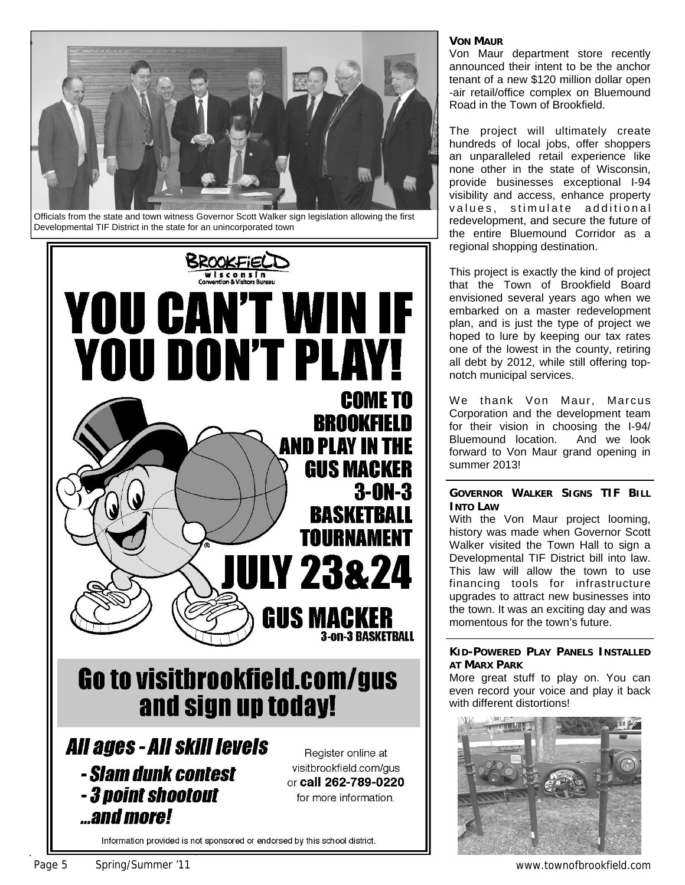

Officials from the state and town witness Governor Scott Walker sign legislation allowing the first Developmental TIF District in the state for an unincorporated town



## **VON MAUR**

Von Maur department store recently announced their intent to be the anchor tenant of a new \$120 million dollar open -air retail/office complex on Bluemound Road in the Town of Brookfield.

The project will ultimately create hundreds of local jobs, offer shoppers an unparalleled retail experience like none other in the state of Wisconsin, provide businesses exceptional I-94 visibility and access, enhance property values, stimulate additional redevelopment, and secure the future of the entire Bluemound Corridor as a regional shopping destination.

This project is exactly the kind of project that the Town of Brookfield Board envisioned several years ago when we embarked on a master redevelopment plan, and is just the type of project we hoped to lure by keeping our tax rates one of the lowest in the county, retiring all debt by 2012, while still offering topnotch municipal services.

We thank Von Maur, Marcus Corporation and the development team for their vision in choosing the I-94/ Bluemound location. And we look forward to Von Maur grand opening in summer 2013!

## **GOVERNOR WALKER SIGNS TIF BILL INTO LAW**

With the Von Maur project looming, history was made when Governor Scott Walker visited the Town Hall to sign a Developmental TIF District bill into law. This law will allow the town to use financing tools for infrastructure upgrades to attract new businesses into the town. It was an exciting day and was momentous for the town's future.

## **KID-POWERED PLAY PANELS INSTALLED AT MARX PARK**

More great stuff to play on. You can even record your voice and play it back with different distortions!